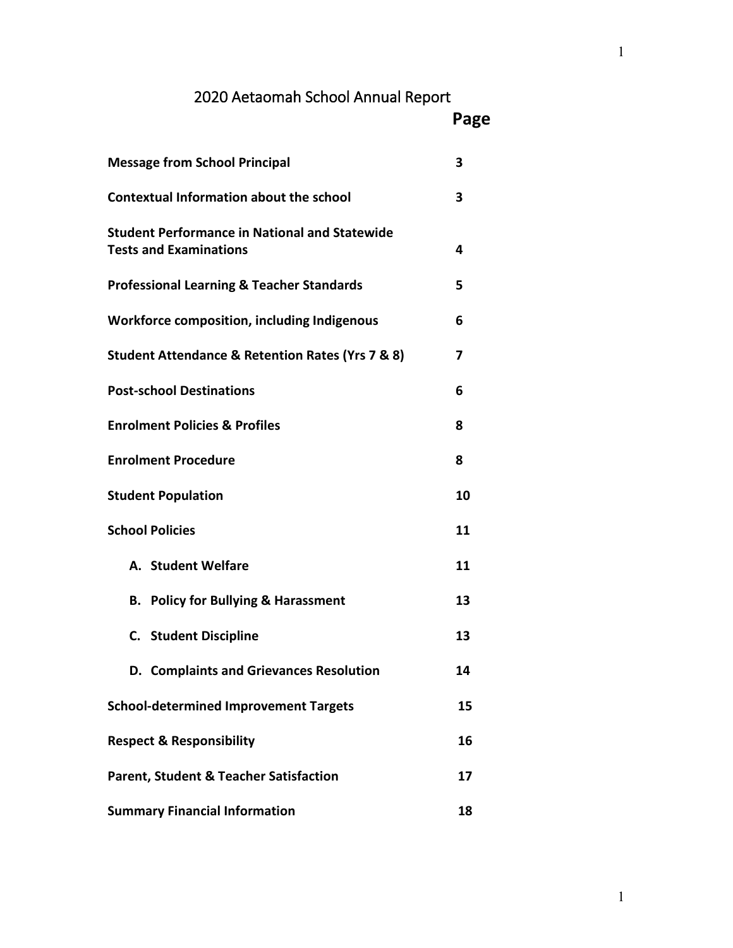# 2020 Aetaomah School Annual Report

| Page |
|------|
| 3    |

| <b>Message from School Principal</b>                                                  | 3  |
|---------------------------------------------------------------------------------------|----|
| <b>Contextual Information about the school</b>                                        | 3  |
| <b>Student Performance in National and Statewide</b><br><b>Tests and Examinations</b> | 4  |
| <b>Professional Learning &amp; Teacher Standards</b>                                  | 5  |
| Workforce composition, including Indigenous                                           | 6  |
| Student Attendance & Retention Rates (Yrs 7 & 8)                                      | 7  |
| <b>Post-school Destinations</b>                                                       | 6  |
| <b>Enrolment Policies &amp; Profiles</b>                                              | 8  |
| <b>Enrolment Procedure</b>                                                            | 8  |
| <b>Student Population</b>                                                             | 10 |
| <b>School Policies</b>                                                                | 11 |
| A. Student Welfare                                                                    | 11 |
| <b>B. Policy for Bullying &amp; Harassment</b>                                        | 13 |
| <b>C.</b> Student Discipline                                                          | 13 |
| D. Complaints and Grievances Resolution                                               | 14 |
| <b>School-determined Improvement Targets</b>                                          | 15 |
| <b>Respect &amp; Responsibility</b>                                                   | 16 |
| <b>Parent, Student &amp; Teacher Satisfaction</b>                                     | 17 |
| <b>Summary Financial Information</b>                                                  | 18 |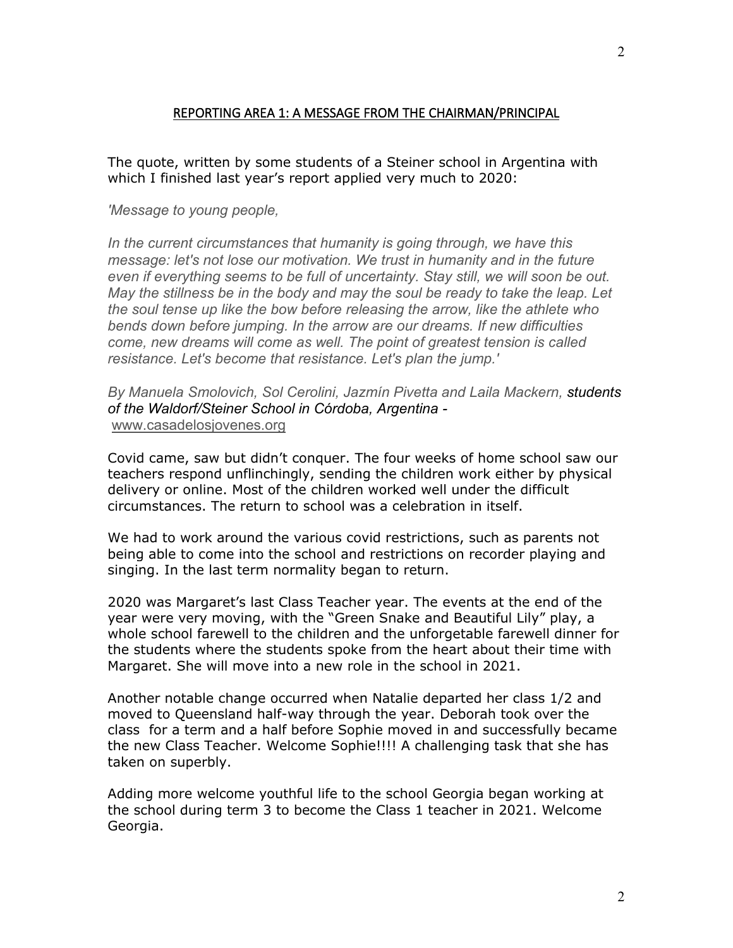## REPORTING AREA 1: A MESSAGE FROM THE CHAIRMAN/PRINCIPAL

The quote, written by some students of a Steiner school in Argentina with which I finished last year's report applied very much to 2020:

#### *'Message to young people,*

*In the current circumstances that humanity is going through, we have this message: let's not lose our motivation. We trust in humanity and in the future even if everything seems to be full of uncertainty. Stay still, we will soon be out. May the stillness be in the body and may the soul be ready to take the leap. Let the soul tense up like the bow before releasing the arrow, like the athlete who bends down before jumping. In the arrow are our dreams. If new difficulties come, new dreams will come as well. The point of greatest tension is called resistance. Let's become that resistance. Let's plan the jump.'*

*By Manuela Smolovich, Sol Cerolini, Jazmín Pivetta and Laila Mackern, students of the Waldorf/Steiner School in Córdoba, Argentina*  [www.casadelosjovenes.org](https://goetheanum.acemlna.com/lt.php?s=9634237393a1961066003177dc245dc4&i=936A1801A46A14497)

Covid came, saw but didn't conquer. The four weeks of home school saw our teachers respond unflinchingly, sending the children work either by physical delivery or online. Most of the children worked well under the difficult circumstances. The return to school was a celebration in itself.

We had to work around the various covid restrictions, such as parents not being able to come into the school and restrictions on recorder playing and singing. In the last term normality began to return.

2020 was Margaret's last Class Teacher year. The events at the end of the year were very moving, with the "Green Snake and Beautiful Lily" play, a whole school farewell to the children and the unforgetable farewell dinner for the students where the students spoke from the heart about their time with Margaret. She will move into a new role in the school in 2021.

Another notable change occurred when Natalie departed her class 1/2 and moved to Queensland half-way through the year. Deborah took over the class for a term and a half before Sophie moved in and successfully became the new Class Teacher. Welcome Sophie!!!! A challenging task that she has taken on superbly.

Adding more welcome youthful life to the school Georgia began working at the school during term 3 to become the Class 1 teacher in 2021. Welcome Georgia.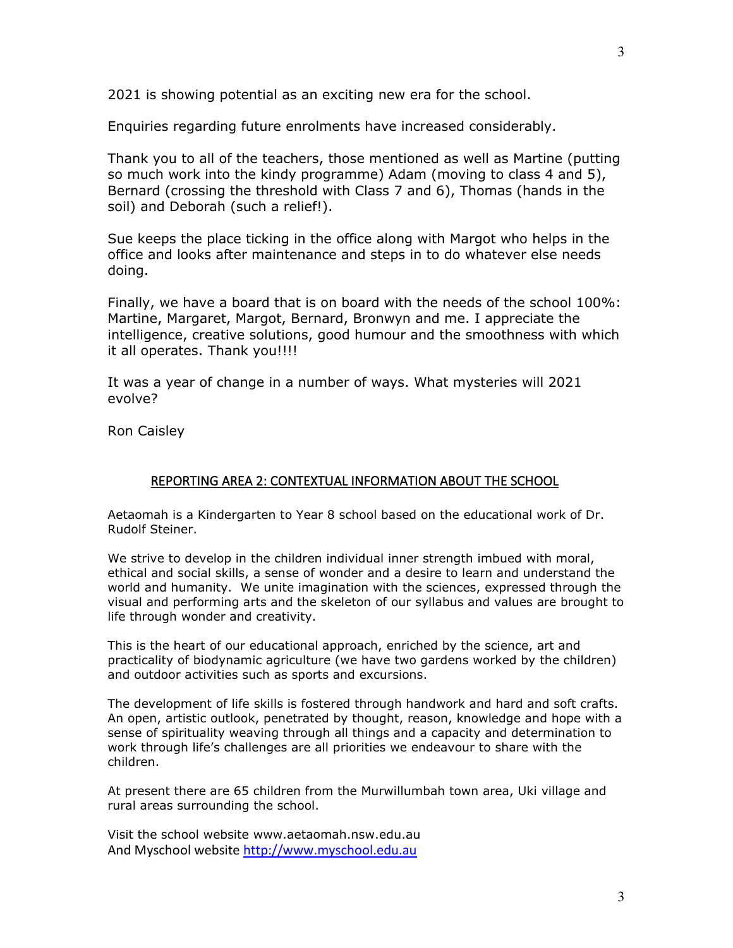Enquiries regarding future enrolments have increased considerably.

Thank you to all of the teachers, those mentioned as well as Martine (putting so much work into the kindy programme) Adam (moving to class 4 and 5), Bernard (crossing the threshold with Class 7 and 6), Thomas (hands in the soil) and Deborah (such a relief!).

Sue keeps the place ticking in the office along with Margot who helps in the office and looks after maintenance and steps in to do whatever else needs doing.

Finally, we have a board that is on board with the needs of the school 100%: Martine, Margaret, Margot, Bernard, Bronwyn and me. I appreciate the intelligence, creative solutions, good humour and the smoothness with which it all operates. Thank you!!!!

It was a year of change in a number of ways. What mysteries will 2021 evolve?

Ron Caisley

#### REPORTING AREA 2: CONTEXTUAL INFORMATION ABOUT THE SCHOOL

Aetaomah is a Kindergarten to Year 8 school based on the educational work of Dr. Rudolf Steiner.

We strive to develop in the children individual inner strength imbued with moral, ethical and social skills, a sense of wonder and a desire to learn and understand the world and humanity. We unite imagination with the sciences, expressed through the visual and performing arts and the skeleton of our syllabus and values are brought to life through wonder and creativity.

This is the heart of our educational approach, enriched by the science, art and practicality of biodynamic agriculture (we have two gardens worked by the children) and outdoor activities such as sports and excursions.

The development of life skills is fostered through handwork and hard and soft crafts. An open, artistic outlook, penetrated by thought, reason, knowledge and hope with a sense of spirituality weaving through all things and a capacity and determination to work through life's challenges are all priorities we endeavour to share with the children.

At present there are 65 children from the Murwillumbah town area, Uki village and rural areas surrounding the school.

Visit the school website www.aetaomah.nsw.edu.au And Myschool website [http://www.myschool.edu.au](http://www.myschool.edu.au/)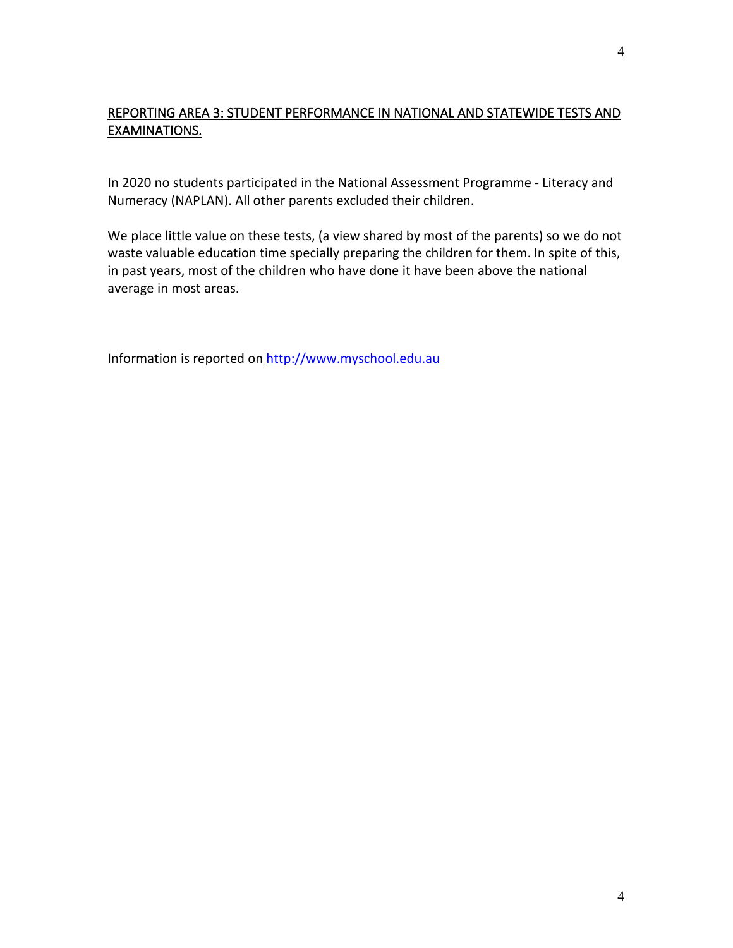# REPORTING AREA 3: STUDENT PERFORMANCE IN NATIONAL AND STATEWIDE TESTS AND EXAMINATIONS.

In 2020 no students participated in the National Assessment Programme - Literacy and Numeracy (NAPLAN). All other parents excluded their children.

We place little value on these tests, (a view shared by most of the parents) so we do not waste valuable education time specially preparing the children for them. In spite of this, in past years, most of the children who have done it have been above the national average in most areas.

Information is reported on [http://www.myschool.edu.au](http://www.myschool.edu.au/)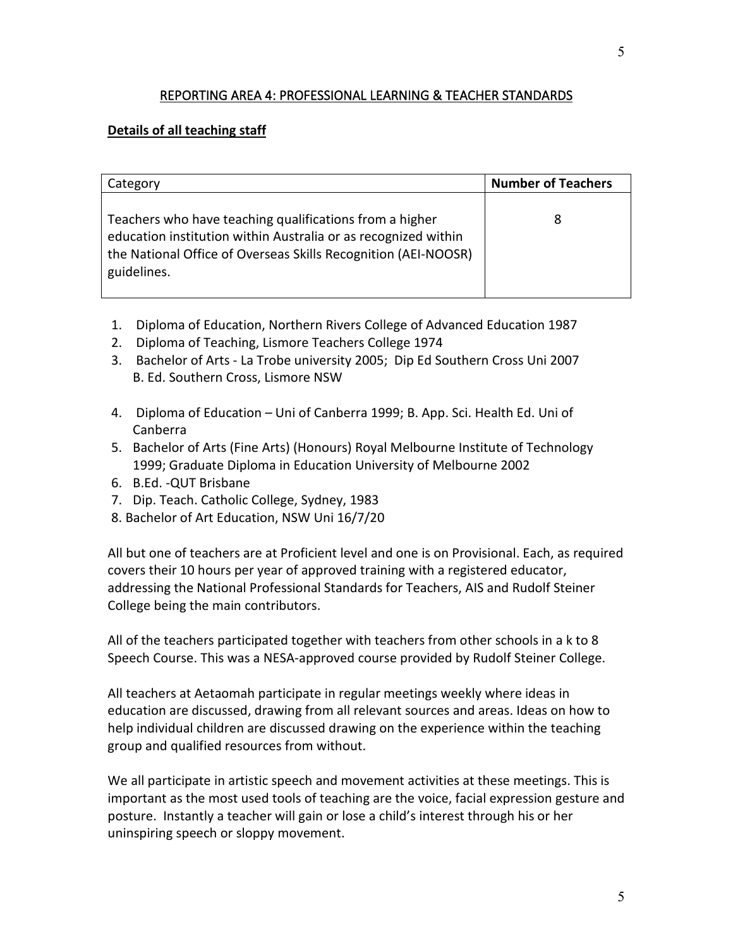## REPORTING AREA 4: PROFESSIONAL LEARNING & TEACHER STANDARDS

## **Details of all teaching staff**

| Category                                                                                                                                                                                                   | <b>Number of Teachers</b> |
|------------------------------------------------------------------------------------------------------------------------------------------------------------------------------------------------------------|---------------------------|
| Teachers who have teaching qualifications from a higher<br>education institution within Australia or as recognized within<br>the National Office of Overseas Skills Recognition (AEI-NOOSR)<br>guidelines. | 8                         |

- 1. Diploma of Education, Northern Rivers College of Advanced Education 1987
- 2. Diploma of Teaching, Lismore Teachers College 1974
- 3. Bachelor of Arts La Trobe university 2005; Dip Ed Southern Cross Uni 2007 B. Ed. Southern Cross, Lismore NSW
- 4. Diploma of Education Uni of Canberra 1999; B. App. Sci. Health Ed. Uni of Canberra
- 5. Bachelor of Arts (Fine Arts) (Honours) Royal Melbourne Institute of Technology 1999; Graduate Diploma in Education University of Melbourne 2002
- 6. B.Ed. -QUT Brisbane
- 7. Dip. Teach. Catholic College, Sydney, 1983
- 8. Bachelor of Art Education, NSW Uni 16/7/20

All but one of teachers are at Proficient level and one is on Provisional. Each, as required covers their 10 hours per year of approved training with a registered educator, addressing the National Professional Standards for Teachers, AIS and Rudolf Steiner College being the main contributors.

All of the teachers participated together with teachers from other schools in a k to 8 Speech Course. This was a NESA-approved course provided by Rudolf Steiner College.

All teachers at Aetaomah participate in regular meetings weekly where ideas in education are discussed, drawing from all relevant sources and areas. Ideas on how to help individual children are discussed drawing on the experience within the teaching group and qualified resources from without.

We all participate in artistic speech and movement activities at these meetings. This is important as the most used tools of teaching are the voice, facial expression gesture and posture. Instantly a teacher will gain or lose a child's interest through his or her uninspiring speech or sloppy movement.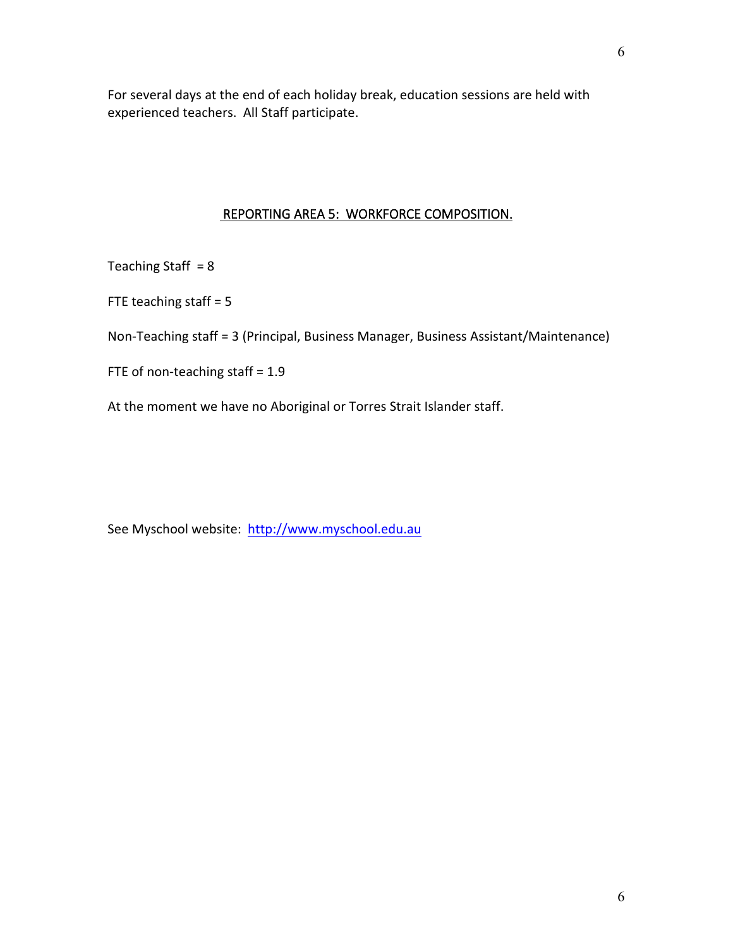For several days at the end of each holiday break, education sessions are held with experienced teachers. All Staff participate.

## REPORTING AREA 5: WORKFORCE COMPOSITION.

Teaching Staff  $= 8$ 

FTE teaching staff = 5

Non-Teaching staff = 3 (Principal, Business Manager, Business Assistant/Maintenance)

FTE of non-teaching staff = 1.9

At the moment we have no Aboriginal or Torres Strait Islander staff.

See Myschool website: [http://www.myschool.edu.au](http://www.myschool.edu.au/)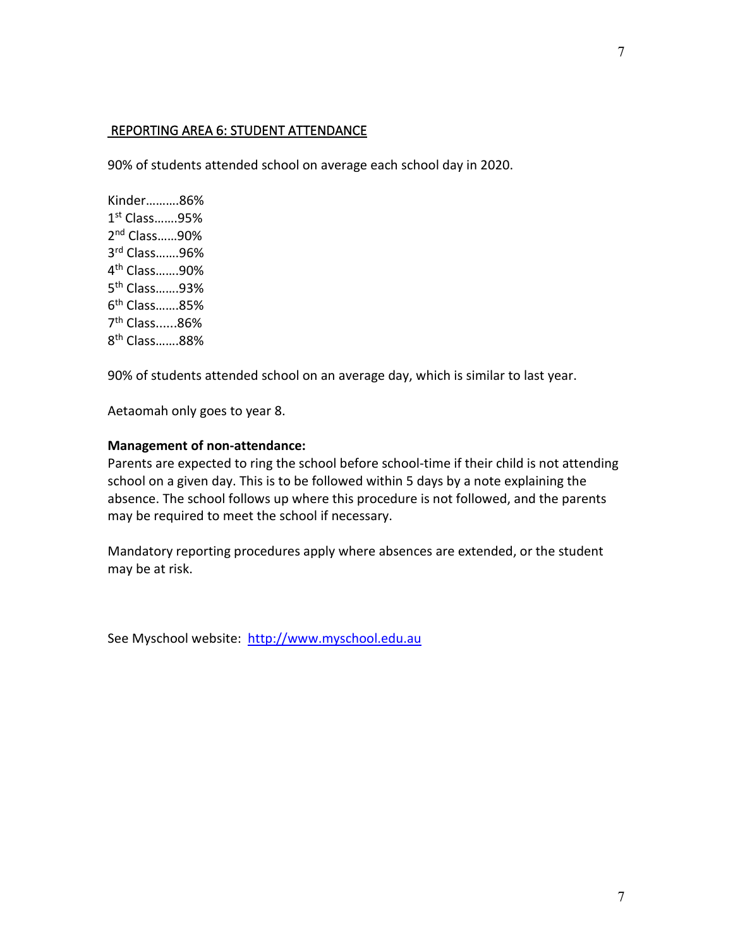## REPORTING AREA 6: STUDENT ATTENDANCE

90% of students attended school on average each school day in 2020.

Kinder……….86% 1st Class…….95% 2nd Class……90% 3rd Class…….96% 4th Class…….90% 5th Class…….93% 6th Class…….85% 7th Class......86% 8th Class…….88%

90% of students attended school on an average day, which is similar to last year.

Aetaomah only goes to year 8.

#### **Management of non-attendance:**

Parents are expected to ring the school before school-time if their child is not attending school on a given day. This is to be followed within 5 days by a note explaining the absence. The school follows up where this procedure is not followed, and the parents may be required to meet the school if necessary.

Mandatory reporting procedures apply where absences are extended, or the student may be at risk.

See Myschool website: [http://www.myschool.edu.au](http://www.myschool.edu.au/)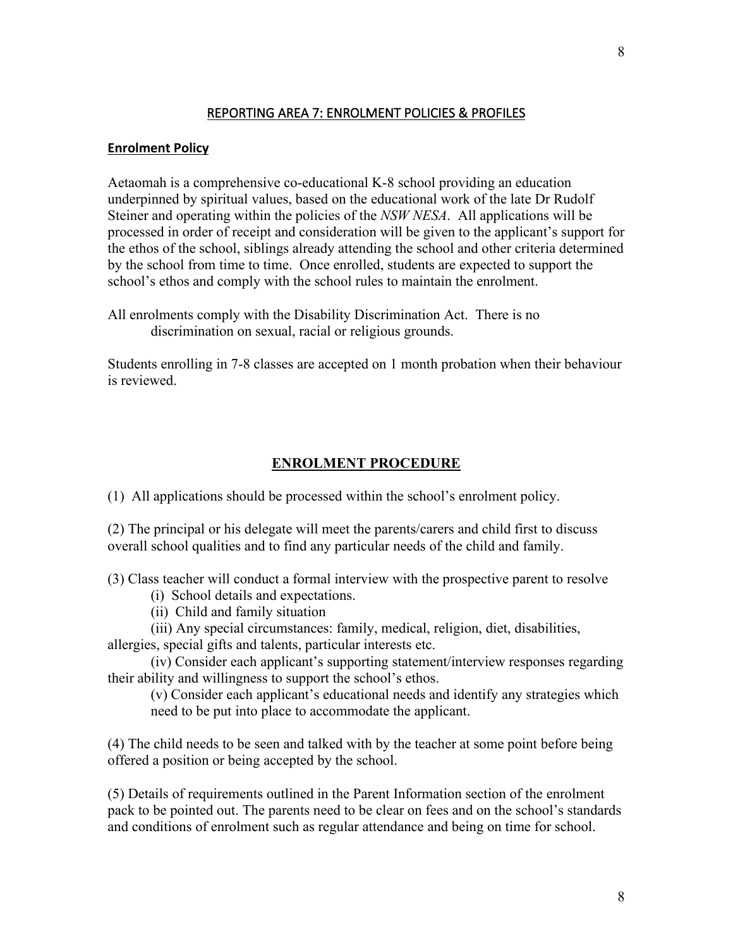## REPORTING AREA 7: ENROLMENT POLICIES & PROFILES

#### **Enrolment Policy**

Aetaomah is a comprehensive co-educational K-8 school providing an education underpinned by spiritual values, based on the educational work of the late Dr Rudolf Steiner and operating within the policies of the *NSW NESA*. All applications will be processed in order of receipt and consideration will be given to the applicant's support for the ethos of the school, siblings already attending the school and other criteria determined by the school from time to time. Once enrolled, students are expected to support the school's ethos and comply with the school rules to maintain the enrolment.

All enrolments comply with the Disability Discrimination Act. There is no discrimination on sexual, racial or religious grounds.

Students enrolling in 7-8 classes are accepted on 1 month probation when their behaviour is reviewed.

### **ENROLMENT PROCEDURE**

(1) All applications should be processed within the school's enrolment policy.

(2) The principal or his delegate will meet the parents/carers and child first to discuss overall school qualities and to find any particular needs of the child and family.

(3) Class teacher will conduct a formal interview with the prospective parent to resolve

- (i) School details and expectations.
- (ii) Child and family situation

(iii) Any special circumstances: family, medical, religion, diet, disabilities, allergies, special gifts and talents, particular interests etc.

 (iv) Consider each applicant's supporting statement/interview responses regarding their ability and willingness to support the school's ethos.

 (v) Consider each applicant's educational needs and identify any strategies which need to be put into place to accommodate the applicant.

(4) The child needs to be seen and talked with by the teacher at some point before being offered a position or being accepted by the school.

(5) Details of requirements outlined in the Parent Information section of the enrolment pack to be pointed out. The parents need to be clear on fees and on the school's standards and conditions of enrolment such as regular attendance and being on time for school.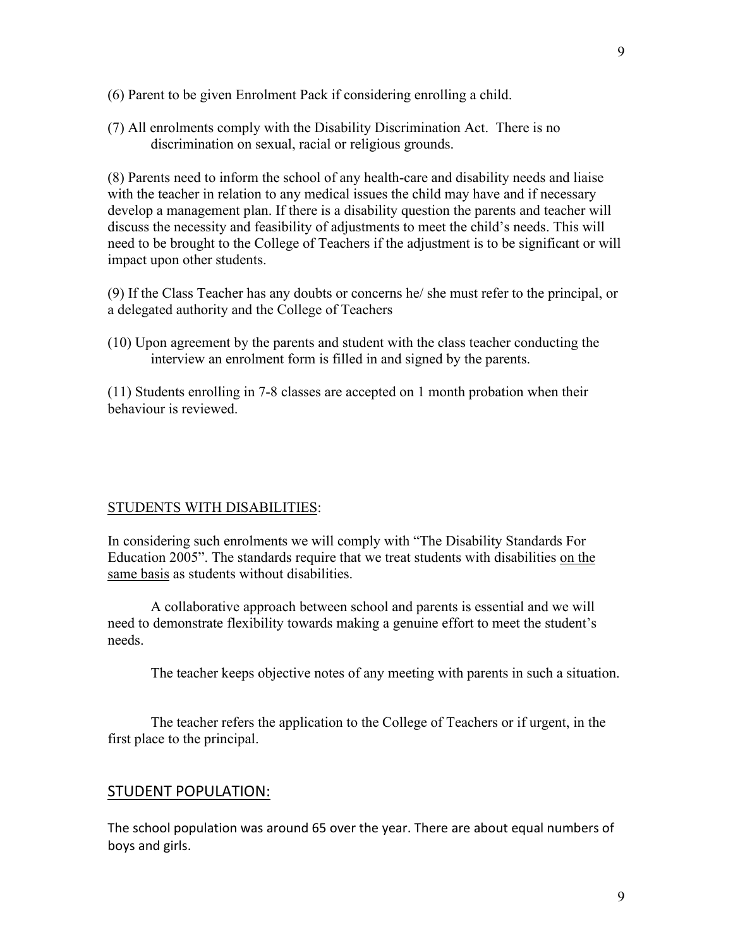- (6) Parent to be given Enrolment Pack if considering enrolling a child.
- (7) All enrolments comply with the Disability Discrimination Act. There is no discrimination on sexual, racial or religious grounds.

(8) Parents need to inform the school of any health-care and disability needs and liaise with the teacher in relation to any medical issues the child may have and if necessary develop a management plan. If there is a disability question the parents and teacher will discuss the necessity and feasibility of adjustments to meet the child's needs. This will need to be brought to the College of Teachers if the adjustment is to be significant or will impact upon other students.

(9) If the Class Teacher has any doubts or concerns he/ she must refer to the principal, or a delegated authority and the College of Teachers

(10) Upon agreement by the parents and student with the class teacher conducting the interview an enrolment form is filled in and signed by the parents.

(11) Students enrolling in 7-8 classes are accepted on 1 month probation when their behaviour is reviewed.

#### STUDENTS WITH DISABILITIES:

In considering such enrolments we will comply with "The Disability Standards For Education 2005". The standards require that we treat students with disabilities on the same basis as students without disabilities.

A collaborative approach between school and parents is essential and we will need to demonstrate flexibility towards making a genuine effort to meet the student's needs.

The teacher keeps objective notes of any meeting with parents in such a situation.

The teacher refers the application to the College of Teachers or if urgent, in the first place to the principal.

#### STUDENT POPULATION:

The school population was around 65 over the year. There are about equal numbers of boys and girls.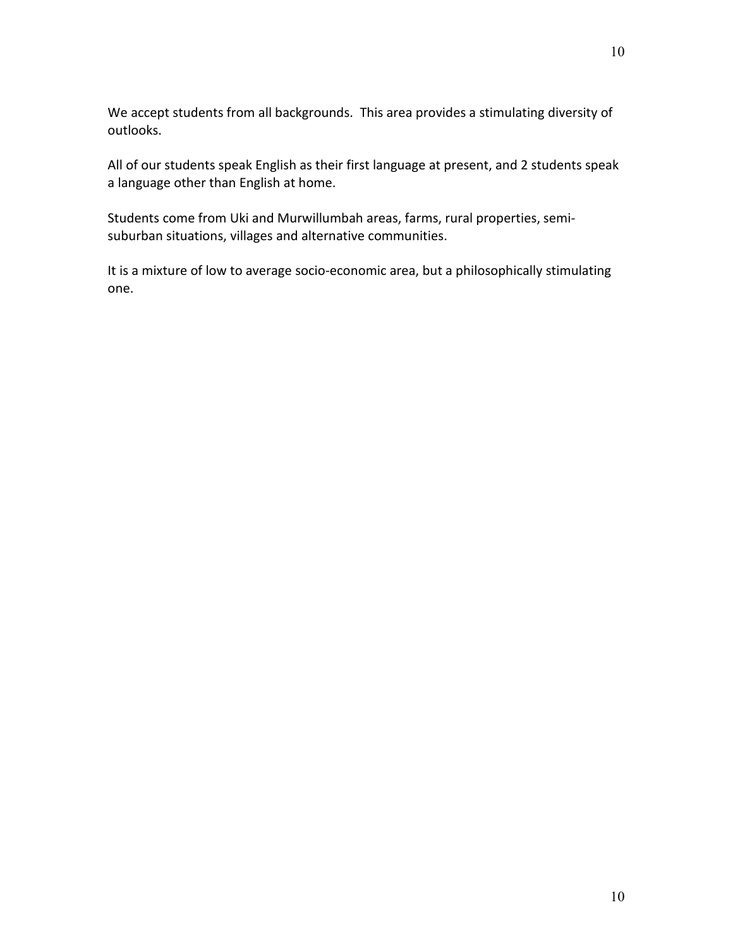We accept students from all backgrounds. This area provides a stimulating diversity of outlooks.

All of our students speak English as their first language at present, and 2 students speak a language other than English at home.

Students come from Uki and Murwillumbah areas, farms, rural properties, semisuburban situations, villages and alternative communities.

It is a mixture of low to average socio-economic area, but a philosophically stimulating one.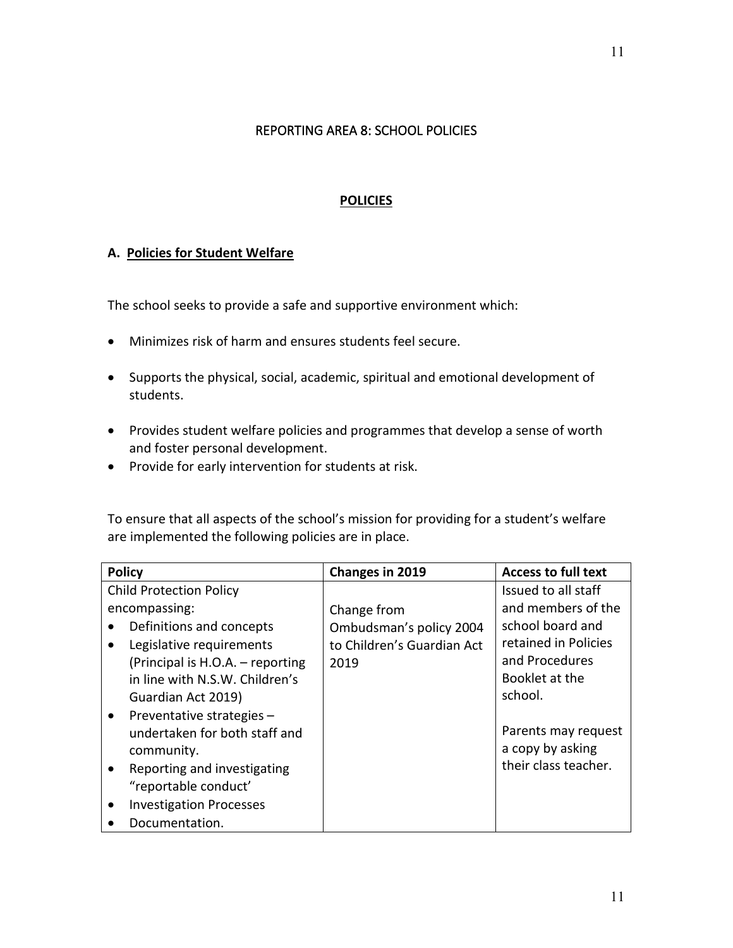### REPORTING AREA 8: SCHOOL POLICIES

## **POLICIES**

#### **A. Policies for Student Welfare**

The school seeks to provide a safe and supportive environment which:

- Minimizes risk of harm and ensures students feel secure.
- Supports the physical, social, academic, spiritual and emotional development of students.
- Provides student welfare policies and programmes that develop a sense of worth and foster personal development.
- Provide for early intervention for students at risk.

To ensure that all aspects of the school's mission for providing for a student's welfare are implemented the following policies are in place.

| <b>Policy</b>                                                                                                                               | Changes in 2019                                                              | <b>Access to full text</b>                                                                                    |
|---------------------------------------------------------------------------------------------------------------------------------------------|------------------------------------------------------------------------------|---------------------------------------------------------------------------------------------------------------|
| <b>Child Protection Policy</b>                                                                                                              |                                                                              | Issued to all staff                                                                                           |
| encompassing:<br>Definitions and concepts<br>Legislative requirements<br>(Principal is H.O.A. – reporting<br>in line with N.S.W. Children's | Change from<br>Ombudsman's policy 2004<br>to Children's Guardian Act<br>2019 | and members of the<br>school board and<br>retained in Policies<br>and Procedures<br>Booklet at the<br>school. |
| Guardian Act 2019)<br>Preventative strategies -<br>$\bullet$<br>undertaken for both staff and<br>community.                                 |                                                                              | Parents may request<br>a copy by asking                                                                       |
| Reporting and investigating<br>"reportable conduct'<br><b>Investigation Processes</b>                                                       |                                                                              | their class teacher.                                                                                          |
| Documentation.                                                                                                                              |                                                                              |                                                                                                               |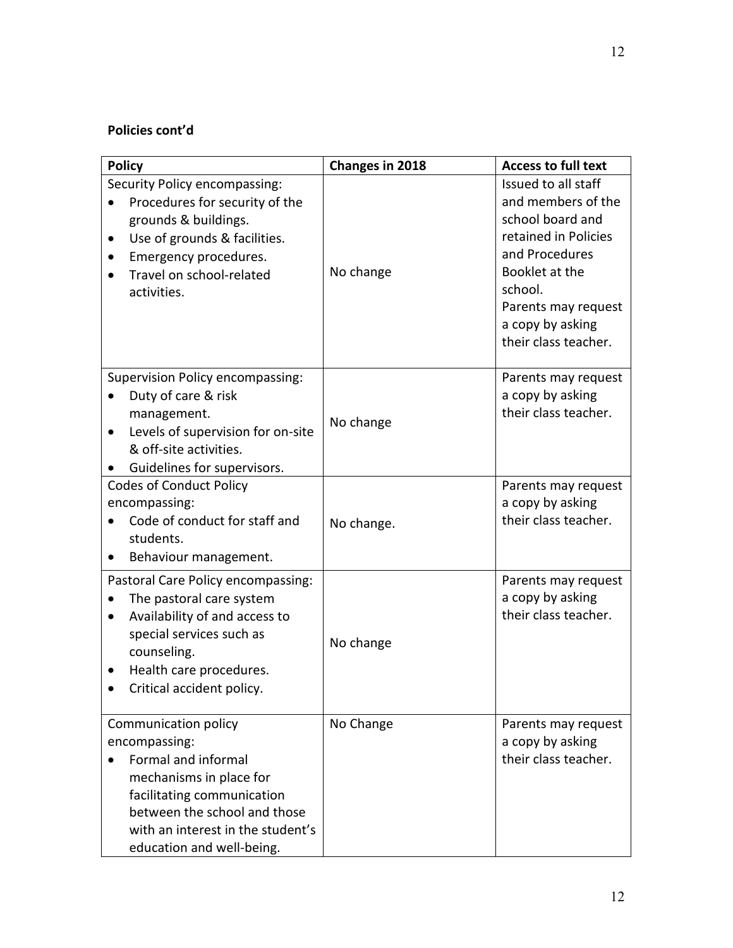# **Policies cont'd**

| <b>Policy</b>                                                                                                                                                                                                           | Changes in 2018 | <b>Access to full text</b>                                                                                                                                                                              |
|-------------------------------------------------------------------------------------------------------------------------------------------------------------------------------------------------------------------------|-----------------|---------------------------------------------------------------------------------------------------------------------------------------------------------------------------------------------------------|
| Security Policy encompassing:<br>Procedures for security of the<br>grounds & buildings.<br>Use of grounds & facilities.<br>Emergency procedures.<br>Travel on school-related<br>activities.                             | No change       | Issued to all staff<br>and members of the<br>school board and<br>retained in Policies<br>and Procedures<br>Booklet at the<br>school.<br>Parents may request<br>a copy by asking<br>their class teacher. |
| Supervision Policy encompassing:<br>Duty of care & risk<br>management.<br>Levels of supervision for on-site<br>$\bullet$<br>& off-site activities.<br>Guidelines for supervisors.                                       | No change       | Parents may request<br>a copy by asking<br>their class teacher.                                                                                                                                         |
| <b>Codes of Conduct Policy</b><br>encompassing:<br>Code of conduct for staff and<br>students.<br>Behaviour management.                                                                                                  | No change.      | Parents may request<br>a copy by asking<br>their class teacher.                                                                                                                                         |
| Pastoral Care Policy encompassing:<br>The pastoral care system<br>Availability of and access to<br>$\bullet$<br>special services such as<br>counseling.<br>Health care procedures.<br>Critical accident policy.         | No change       | Parents may request<br>a copy by asking<br>their class teacher.                                                                                                                                         |
| Communication policy<br>encompassing:<br>Formal and informal<br>mechanisms in place for<br>facilitating communication<br>between the school and those<br>with an interest in the student's<br>education and well-being. | No Change       | Parents may request<br>a copy by asking<br>their class teacher.                                                                                                                                         |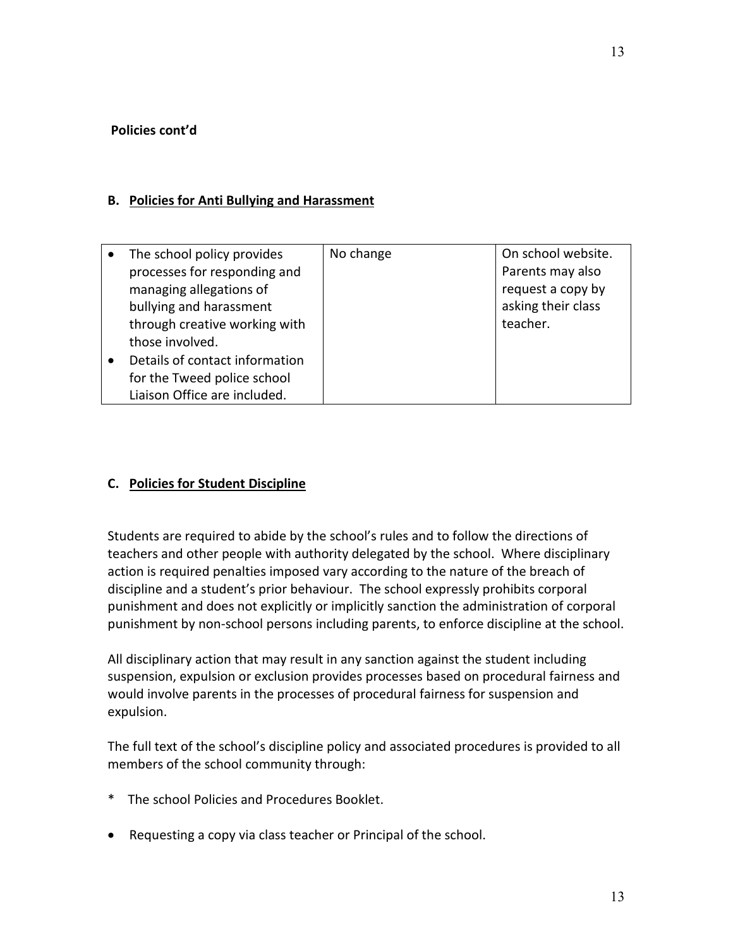#### **Policies cont'd**

#### **B. Policies for Anti Bullying and Harassment**

| The school policy provides     | No change | On school website. |
|--------------------------------|-----------|--------------------|
| processes for responding and   |           | Parents may also   |
| managing allegations of        |           | request a copy by  |
| bullying and harassment        |           | asking their class |
| through creative working with  |           | teacher.           |
| those involved.                |           |                    |
| Details of contact information |           |                    |
| for the Tweed police school    |           |                    |
| Liaison Office are included.   |           |                    |
|                                |           |                    |

## **C. Policies for Student Discipline**

Students are required to abide by the school's rules and to follow the directions of teachers and other people with authority delegated by the school. Where disciplinary action is required penalties imposed vary according to the nature of the breach of discipline and a student's prior behaviour. The school expressly prohibits corporal punishment and does not explicitly or implicitly sanction the administration of corporal punishment by non-school persons including parents, to enforce discipline at the school.

All disciplinary action that may result in any sanction against the student including suspension, expulsion or exclusion provides processes based on procedural fairness and would involve parents in the processes of procedural fairness for suspension and expulsion.

The full text of the school's discipline policy and associated procedures is provided to all members of the school community through:

- \* The school Policies and Procedures Booklet.
- Requesting a copy via class teacher or Principal of the school.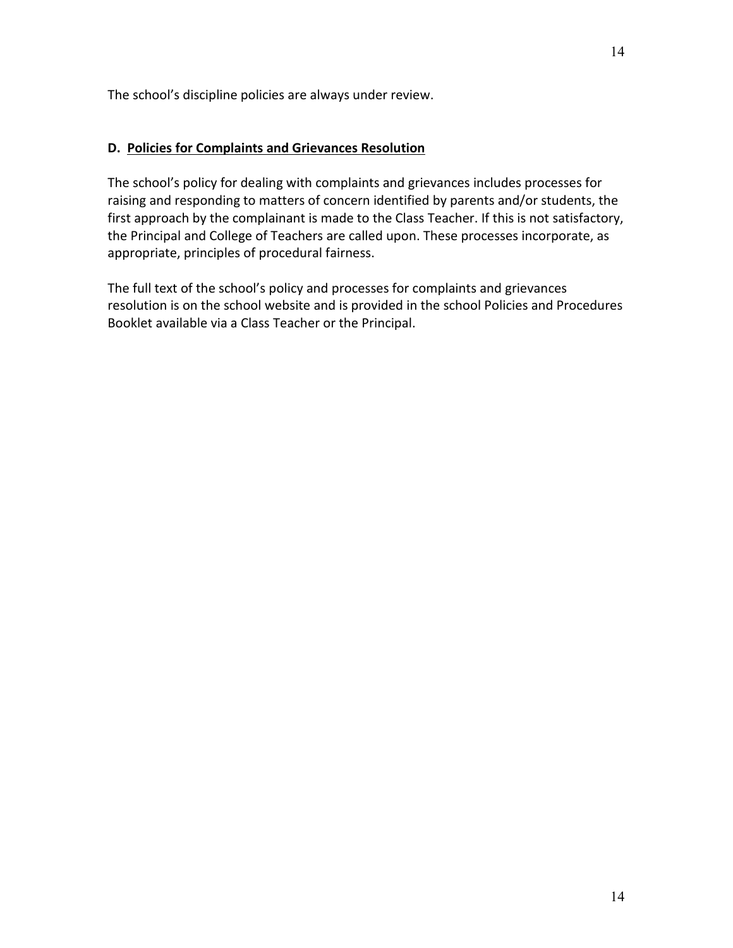## **D. Policies for Complaints and Grievances Resolution**

The school's policy for dealing with complaints and grievances includes processes for raising and responding to matters of concern identified by parents and/or students, the first approach by the complainant is made to the Class Teacher. If this is not satisfactory, the Principal and College of Teachers are called upon. These processes incorporate, as appropriate, principles of procedural fairness.

The full text of the school's policy and processes for complaints and grievances resolution is on the school website and is provided in the school Policies and Procedures Booklet available via a Class Teacher or the Principal.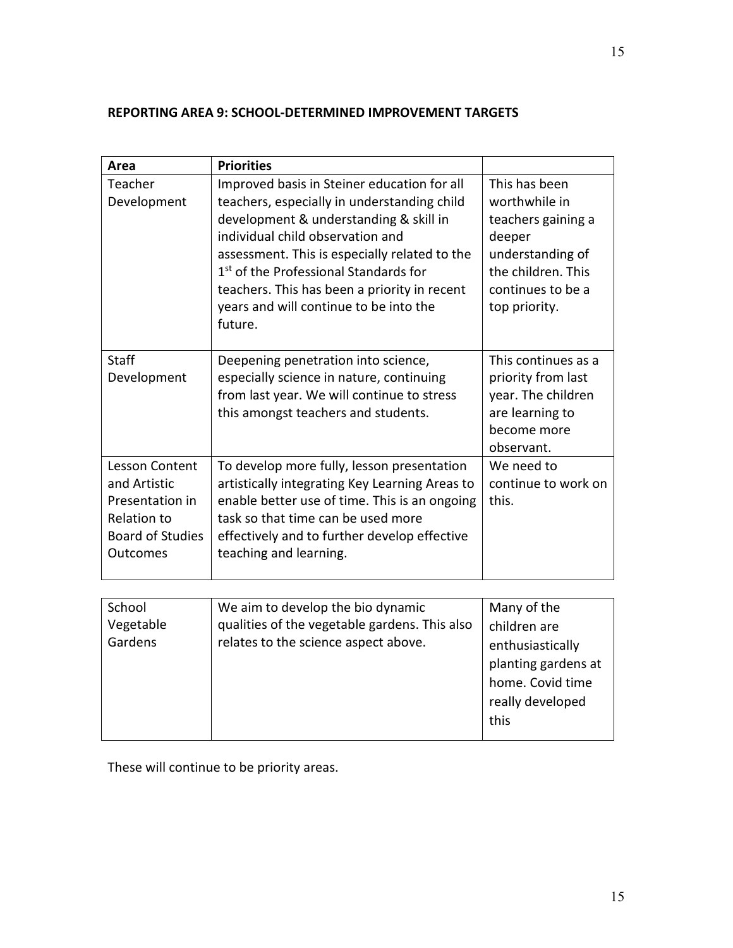# **REPORTING AREA 9: SCHOOL-DETERMINED IMPROVEMENT TARGETS**

| Area                                                                                                                  | <b>Priorities</b>                                                                                                                                                                                                                                                                                                                                                                   |                                                                                                                                                |
|-----------------------------------------------------------------------------------------------------------------------|-------------------------------------------------------------------------------------------------------------------------------------------------------------------------------------------------------------------------------------------------------------------------------------------------------------------------------------------------------------------------------------|------------------------------------------------------------------------------------------------------------------------------------------------|
| Teacher<br>Development                                                                                                | Improved basis in Steiner education for all<br>teachers, especially in understanding child<br>development & understanding & skill in<br>individual child observation and<br>assessment. This is especially related to the<br>1 <sup>st</sup> of the Professional Standards for<br>teachers. This has been a priority in recent<br>years and will continue to be into the<br>future. | This has been<br>worthwhile in<br>teachers gaining a<br>deeper<br>understanding of<br>the children. This<br>continues to be a<br>top priority. |
| <b>Staff</b><br>Development                                                                                           | Deepening penetration into science,<br>especially science in nature, continuing<br>from last year. We will continue to stress<br>this amongst teachers and students.                                                                                                                                                                                                                | This continues as a<br>priority from last<br>year. The children<br>are learning to<br>become more<br>observant.                                |
| <b>Lesson Content</b><br>and Artistic<br>Presentation in<br>Relation to<br><b>Board of Studies</b><br><b>Outcomes</b> | To develop more fully, lesson presentation<br>artistically integrating Key Learning Areas to<br>enable better use of time. This is an ongoing<br>task so that time can be used more<br>effectively and to further develop effective<br>teaching and learning.                                                                                                                       | We need to<br>continue to work on<br>this.                                                                                                     |
| School<br>Vegetable<br>Gardens                                                                                        | We aim to develop the bio dynamic<br>qualities of the vegetable gardens. This also<br>relates to the science aspect above.                                                                                                                                                                                                                                                          | Many of the<br>children are<br>enthusiastically<br>planting gardens at<br>home. Covid time<br>really developed<br>this                         |

These will continue to be priority areas.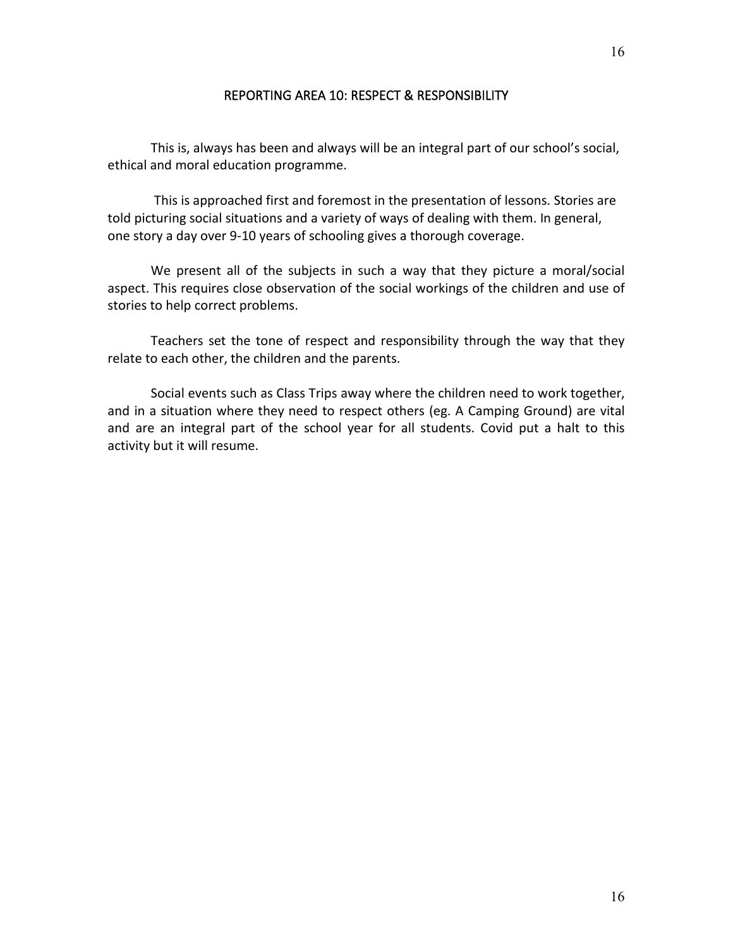#### REPORTING AREA 10: RESPECT & RESPONSIBILITY

This is, always has been and always will be an integral part of our school's social, ethical and moral education programme.

This is approached first and foremost in the presentation of lessons. Stories are told picturing social situations and a variety of ways of dealing with them. In general, one story a day over 9-10 years of schooling gives a thorough coverage.

We present all of the subjects in such a way that they picture a moral/social aspect. This requires close observation of the social workings of the children and use of stories to help correct problems.

Teachers set the tone of respect and responsibility through the way that they relate to each other, the children and the parents.

Social events such as Class Trips away where the children need to work together, and in a situation where they need to respect others (eg. A Camping Ground) are vital and are an integral part of the school year for all students. Covid put a halt to this activity but it will resume.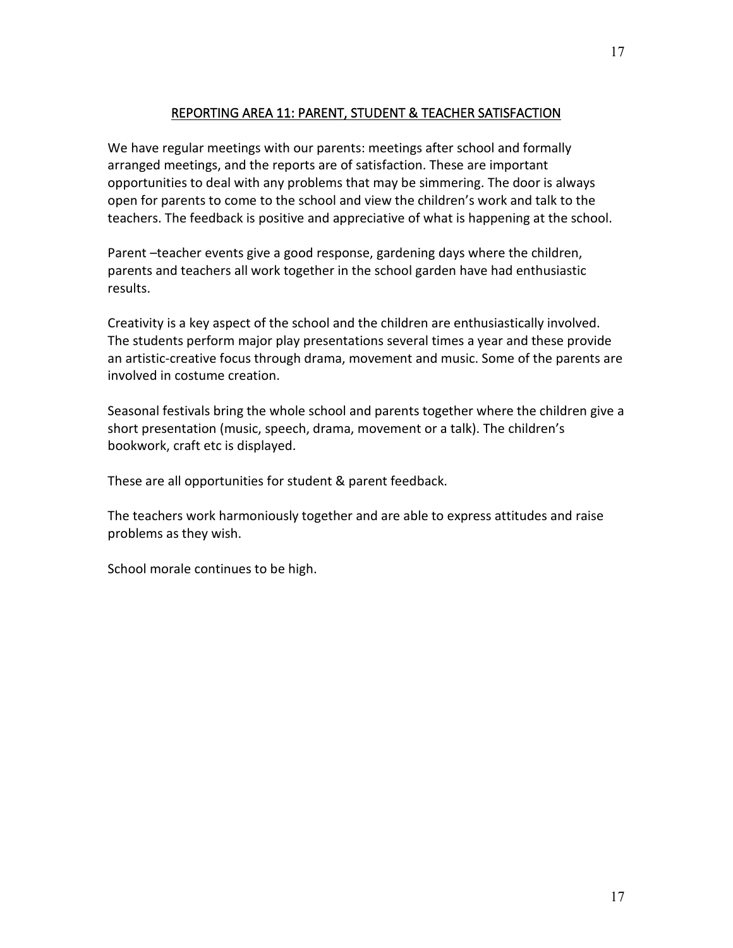## REPORTING AREA 11: PARENT, STUDENT & TEACHER SATISFACTION

We have regular meetings with our parents: meetings after school and formally arranged meetings, and the reports are of satisfaction. These are important opportunities to deal with any problems that may be simmering. The door is always open for parents to come to the school and view the children's work and talk to the teachers. The feedback is positive and appreciative of what is happening at the school.

Parent –teacher events give a good response, gardening days where the children, parents and teachers all work together in the school garden have had enthusiastic results.

Creativity is a key aspect of the school and the children are enthusiastically involved. The students perform major play presentations several times a year and these provide an artistic-creative focus through drama, movement and music. Some of the parents are involved in costume creation.

Seasonal festivals bring the whole school and parents together where the children give a short presentation (music, speech, drama, movement or a talk). The children's bookwork, craft etc is displayed.

These are all opportunities for student & parent feedback.

The teachers work harmoniously together and are able to express attitudes and raise problems as they wish.

School morale continues to be high.